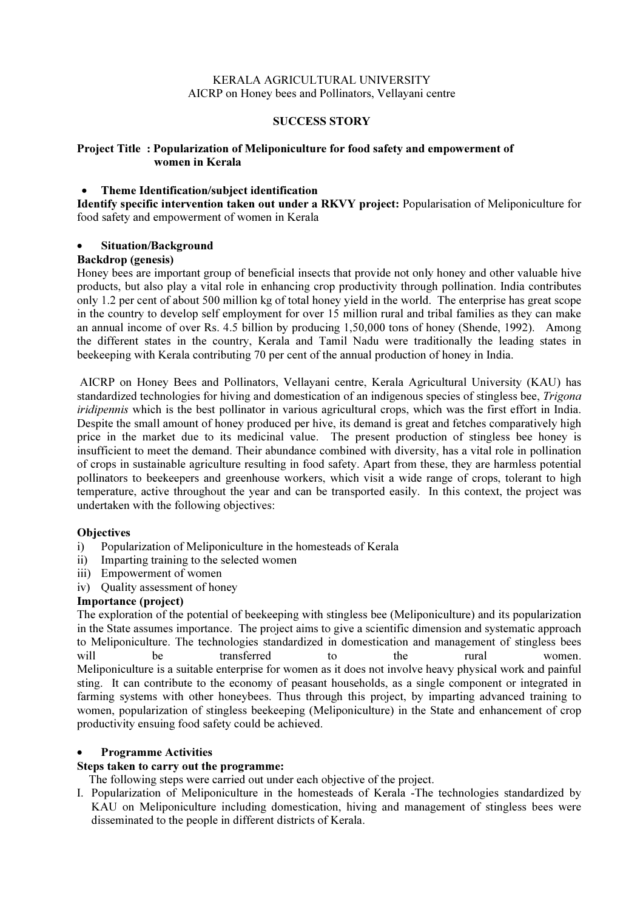## KERALA AGRICULTURAL UNIVERSITY AICRP on Honey bees and Pollinators, Vellayani centre

### SUCCESS STORY

## Project Title : Popularization of Meliponiculture for food safety and empowerment of women in Kerala

## • Theme Identification/subject identification

Identify specific intervention taken out under a RKVY project: Popularisation of Meliponiculture for food safety and empowerment of women in Kerala

### • Situation/Background

### Backdrop (genesis)

Honey bees are important group of beneficial insects that provide not only honey and other valuable hive products, but also play a vital role in enhancing crop productivity through pollination. India contributes only 1.2 per cent of about 500 million kg of total honey yield in the world. The enterprise has great scope in the country to develop self employment for over 15 million rural and tribal families as they can make an annual income of over Rs. 4.5 billion by producing 1,50,000 tons of honey (Shende, 1992). Among the different states in the country, Kerala and Tamil Nadu were traditionally the leading states in beekeeping with Kerala contributing 70 per cent of the annual production of honey in India.

 AICRP on Honey Bees and Pollinators, Vellayani centre, Kerala Agricultural University (KAU) has standardized technologies for hiving and domestication of an indigenous species of stingless bee, Trigona iridipennis which is the best pollinator in various agricultural crops, which was the first effort in India. Despite the small amount of honey produced per hive, its demand is great and fetches comparatively high price in the market due to its medicinal value. The present production of stingless bee honey is insufficient to meet the demand. Their abundance combined with diversity, has a vital role in pollination of crops in sustainable agriculture resulting in food safety. Apart from these, they are harmless potential pollinators to beekeepers and greenhouse workers, which visit a wide range of crops, tolerant to high temperature, active throughout the year and can be transported easily. In this context, the project was undertaken with the following objectives:

## **Objectives**

- i) Popularization of Meliponiculture in the homesteads of Kerala
- ii) Imparting training to the selected women
- iii) Empowerment of women
- iv) Quality assessment of honey

## Importance (project)

The exploration of the potential of beekeeping with stingless bee (Meliponiculture) and its popularization in the State assumes importance. The project aims to give a scientific dimension and systematic approach to Meliponiculture. The technologies standardized in domestication and management of stingless bees will be transferred to the rural women. Meliponiculture is a suitable enterprise for women as it does not involve heavy physical work and painful sting. It can contribute to the economy of peasant households, as a single component or integrated in farming systems with other honeybees. Thus through this project, by imparting advanced training to women, popularization of stingless beekeeping (Meliponiculture) in the State and enhancement of crop productivity ensuing food safety could be achieved.

#### • Programme Activities

# Steps taken to carry out the programme:

The following steps were carried out under each objective of the project.

I. Popularization of Meliponiculture in the homesteads of Kerala -The technologies standardized by KAU on Meliponiculture including domestication, hiving and management of stingless bees were disseminated to the people in different districts of Kerala.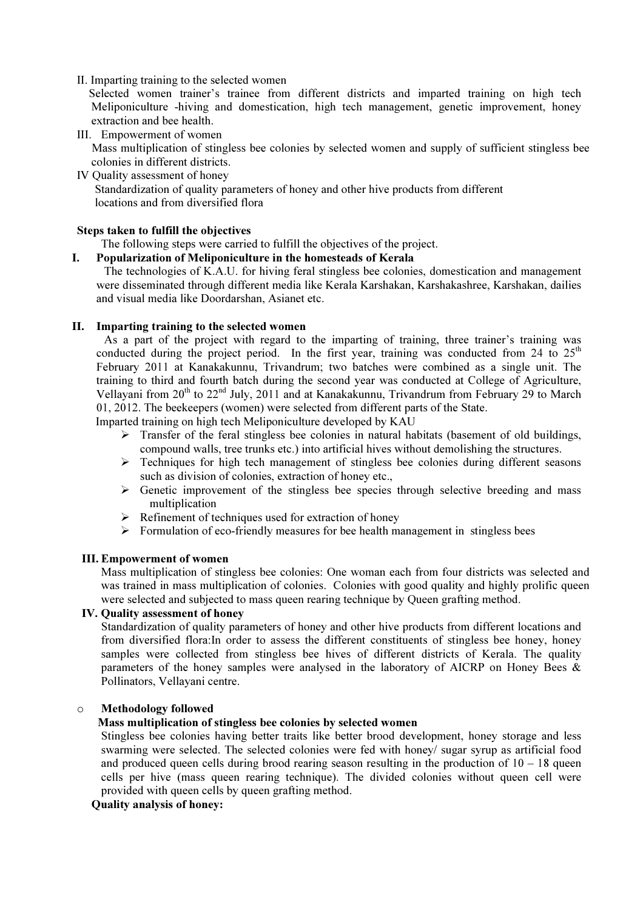### II. Imparting training to the selected women

 Selected women trainer's trainee from different districts and imparted training on high tech Meliponiculture -hiving and domestication, high tech management, genetic improvement, honey extraction and bee health.

III. Empowerment of women

 Mass multiplication of stingless bee colonies by selected women and supply of sufficient stingless bee colonies in different districts.

IV Quality assessment of honey

 Standardization of quality parameters of honey and other hive products from different locations and from diversified flora

#### Steps taken to fulfill the objectives

The following steps were carried to fulfill the objectives of the project.

### I. Popularization of Meliponiculture in the homesteads of Kerala

 The technologies of K.A.U. for hiving feral stingless bee colonies, domestication and management were disseminated through different media like Kerala Karshakan, Karshakashree, Karshakan, dailies and visual media like Doordarshan, Asianet etc.

## II. Imparting training to the selected women

 As a part of the project with regard to the imparting of training, three trainer's training was conducted during the project period. In the first year, training was conducted from 24 to  $25<sup>th</sup>$ February 2011 at Kanakakunnu, Trivandrum; two batches were combined as a single unit. The training to third and fourth batch during the second year was conducted at College of Agriculture, Vellayani from  $20^{th}$  to  $22^{nd}$  July, 2011 and at Kanakakunnu, Trivandrum from February 29 to March 01, 2012. The beekeepers (women) were selected from different parts of the State.

Imparted training on high tech Meliponiculture developed by KAU

- $\triangleright$  Transfer of the feral stingless bee colonies in natural habitats (basement of old buildings, compound walls, tree trunks etc.) into artificial hives without demolishing the structures.
- $\triangleright$  Techniques for high tech management of stingless bee colonies during different seasons such as division of colonies, extraction of honey etc.,
- $\triangleright$  Genetic improvement of the stingless bee species through selective breeding and mass multiplication
- $\triangleright$  Refinement of techniques used for extraction of honey
- $\triangleright$  Formulation of eco-friendly measures for bee health management in stingless bees

#### III. Empowerment of women

Mass multiplication of stingless bee colonies: One woman each from four districts was selected and was trained in mass multiplication of colonies. Colonies with good quality and highly prolific queen were selected and subjected to mass queen rearing technique by Queen grafting method.

### IV. Quality assessment of honey

Standardization of quality parameters of honey and other hive products from different locations and from diversified flora:In order to assess the different constituents of stingless bee honey, honey samples were collected from stingless bee hives of different districts of Kerala. The quality parameters of the honey samples were analysed in the laboratory of AICRP on Honey Bees & Pollinators, Vellayani centre.

#### o Methodology followed

## Mass multiplication of stingless bee colonies by selected women

Stingless bee colonies having better traits like better brood development, honey storage and less swarming were selected. The selected colonies were fed with honey/ sugar syrup as artificial food and produced queen cells during brood rearing season resulting in the production of  $10 - 18$  queen cells per hive (mass queen rearing technique). The divided colonies without queen cell were provided with queen cells by queen grafting method.

### Quality analysis of honey: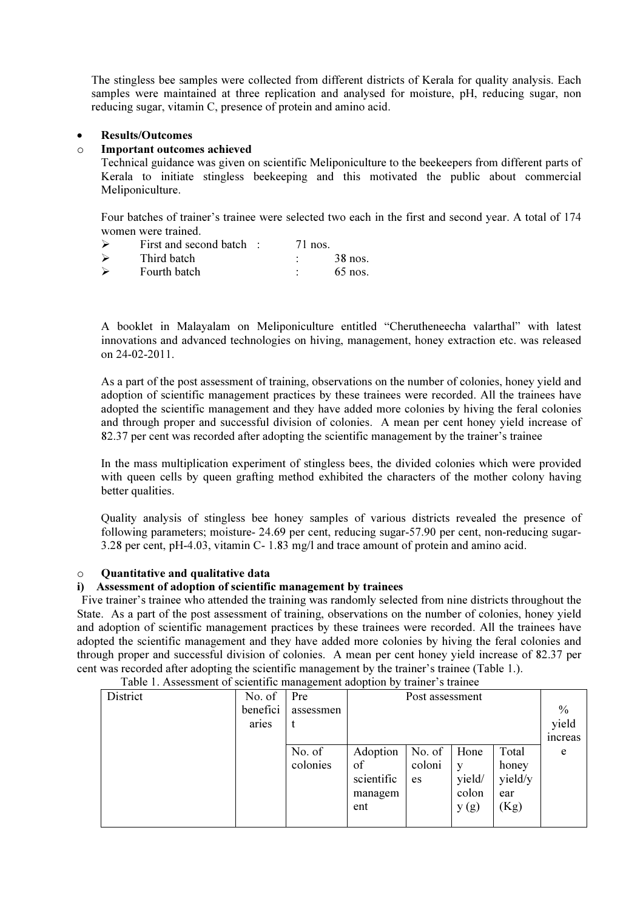The stingless bee samples were collected from different districts of Kerala for quality analysis. Each samples were maintained at three replication and analysed for moisture, pH, reducing sugar, non reducing sugar, vitamin C, presence of protein and amino acid.

## • Results/Outcomes

### o Important outcomes achieved

Technical guidance was given on scientific Meliponiculture to the beekeepers from different parts of Kerala to initiate stingless beekeeping and this motivated the public about commercial Meliponiculture.

Four batches of trainer's trainee were selected two each in the first and second year. A total of 174 women were trained.

- $\triangleright$  First and second batch : 71 nos.
- $\triangleright$  Third batch : 38 nos.  $\triangleright$  Fourth batch : 65 nos.

A booklet in Malayalam on Meliponiculture entitled "Cherutheneecha valarthal" with latest innovations and advanced technologies on hiving, management, honey extraction etc. was released on 24-02-2011.

As a part of the post assessment of training, observations on the number of colonies, honey yield and adoption of scientific management practices by these trainees were recorded. All the trainees have adopted the scientific management and they have added more colonies by hiving the feral colonies and through proper and successful division of colonies. A mean per cent honey yield increase of 82.37 per cent was recorded after adopting the scientific management by the trainer's trainee

In the mass multiplication experiment of stingless bees, the divided colonies which were provided with queen cells by queen grafting method exhibited the characters of the mother colony having better qualities.

Quality analysis of stingless bee honey samples of various districts revealed the presence of following parameters; moisture- 24.69 per cent, reducing sugar-57.90 per cent, non-reducing sugar-3.28 per cent, pH-4.03, vitamin C- 1.83 mg/l and trace amount of protein and amino acid.

#### o Quantitative and qualitative data

### i) Assessment of adoption of scientific management by trainees

Five trainer's trainee who attended the training was randomly selected from nine districts throughout the State. As a part of the post assessment of training, observations on the number of colonies, honey yield and adoption of scientific management practices by these trainees were recorded. All the trainees have adopted the scientific management and they have added more colonies by hiving the feral colonies and through proper and successful division of colonies. A mean per cent honey yield increase of 82.37 per cent was recorded after adopting the scientific management by the trainer's trainee (Table 1.).

| District | No. of   | Pre       | Post assessment |        |        |         |               |
|----------|----------|-----------|-----------------|--------|--------|---------|---------------|
|          | benefici | assessmen |                 |        |        |         | $\%$          |
|          | aries    |           |                 |        |        |         | yield         |
|          |          |           |                 |        |        |         | <i>ncreas</i> |
|          |          | No. of    | Adoption        | No. of | Hone   | Total   | e             |
|          |          | colonies  | of              | coloni | y      | honey   |               |
|          |          |           | scientific      | es     | yield/ | yield/y |               |
|          |          |           | managem         |        | colon  | ear     |               |
|          |          |           | ent             |        | y(g)   | (Kg)    |               |
|          |          |           |                 |        |        |         |               |

Table 1. Assessment of scientific management adoption by trainer's trainee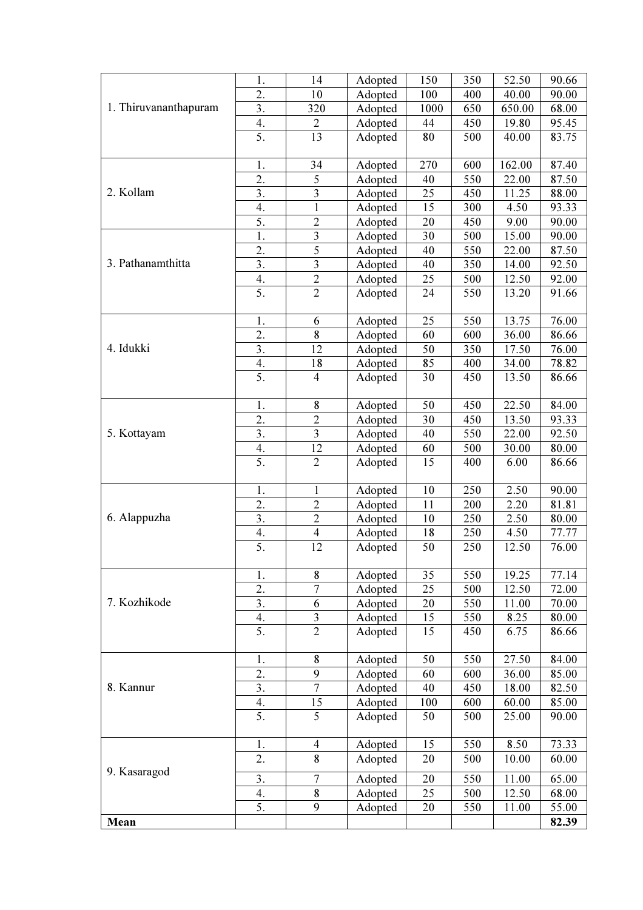|                       | 1.               | 14                      | Adopted | 150  | 350 | 52.50                                                                                                                                                                                                                                                                                                                                                                                   | 90.66 |
|-----------------------|------------------|-------------------------|---------|------|-----|-----------------------------------------------------------------------------------------------------------------------------------------------------------------------------------------------------------------------------------------------------------------------------------------------------------------------------------------------------------------------------------------|-------|
|                       | 2.               | 10                      | Adopted | 100  | 400 | 40.00                                                                                                                                                                                                                                                                                                                                                                                   | 90.00 |
| 1. Thiruvananthapuram | 3.               | 320                     | Adopted | 1000 | 650 |                                                                                                                                                                                                                                                                                                                                                                                         | 68.00 |
|                       | 4.               | $\overline{c}$          | Adopted | 44   | 450 |                                                                                                                                                                                                                                                                                                                                                                                         | 95.45 |
|                       | 5.               | 13                      | Adopted | 80   | 500 |                                                                                                                                                                                                                                                                                                                                                                                         | 83.75 |
|                       |                  |                         |         |      |     |                                                                                                                                                                                                                                                                                                                                                                                         |       |
|                       | 1.               | 34                      | Adopted | 270  | 600 |                                                                                                                                                                                                                                                                                                                                                                                         | 87.40 |
|                       | 2.               | 5                       | Adopted | 40   | 550 |                                                                                                                                                                                                                                                                                                                                                                                         | 87.50 |
| 2. Kollam             | 3.               | $\overline{\mathbf{3}}$ |         | 25   | 450 |                                                                                                                                                                                                                                                                                                                                                                                         |       |
|                       |                  | $\mathbf{1}$            | Adopted | 15   |     |                                                                                                                                                                                                                                                                                                                                                                                         | 88.00 |
|                       | 4.<br>5.         | $\overline{2}$          | Adopted |      | 300 |                                                                                                                                                                                                                                                                                                                                                                                         | 93.33 |
|                       |                  |                         | Adopted | 20   | 450 |                                                                                                                                                                                                                                                                                                                                                                                         | 90.00 |
|                       | 1.               | $\overline{\mathbf{3}}$ | Adopted | 30   | 500 |                                                                                                                                                                                                                                                                                                                                                                                         | 90.00 |
|                       | 2.               | $\overline{5}$          | Adopted | 40   | 550 |                                                                                                                                                                                                                                                                                                                                                                                         | 87.50 |
| 3. Pathanamthitta     | 3.               | 3                       | Adopted | 40   | 350 |                                                                                                                                                                                                                                                                                                                                                                                         | 92.50 |
|                       | 4.               | $\overline{2}$          | Adopted | 25   | 500 |                                                                                                                                                                                                                                                                                                                                                                                         | 92.00 |
|                       | 5.               | $\overline{2}$          | Adopted | 24   | 550 |                                                                                                                                                                                                                                                                                                                                                                                         | 91.66 |
|                       |                  |                         |         |      |     |                                                                                                                                                                                                                                                                                                                                                                                         |       |
|                       | 1.               | 6                       | Adopted | 25   | 550 |                                                                                                                                                                                                                                                                                                                                                                                         | 76.00 |
|                       | 2.               | $\overline{\mathbf{8}}$ | Adopted | 60   | 600 |                                                                                                                                                                                                                                                                                                                                                                                         | 86.66 |
| 4. Idukki             | 3.               | 12                      | Adopted | 50   | 350 |                                                                                                                                                                                                                                                                                                                                                                                         | 76.00 |
|                       | 4.               | 18                      | Adopted | 85   | 400 |                                                                                                                                                                                                                                                                                                                                                                                         | 78.82 |
|                       | 5.               | $\overline{4}$          | Adopted | 30   | 450 |                                                                                                                                                                                                                                                                                                                                                                                         | 86.66 |
|                       |                  |                         |         |      |     |                                                                                                                                                                                                                                                                                                                                                                                         |       |
|                       | 1.               | 8                       | Adopted | 50   | 450 | 650.00<br>19.80<br>40.00<br>162.00<br>22.00<br>11.25<br>4.50<br>9.00<br>15.00<br>22.00<br>14.00<br>12.50<br>13.20<br>13.75<br>36.00<br>17.50<br>34.00<br>13.50<br>22.50<br>13.50<br>22.00<br>30.00<br>6.00<br>2.50<br>2.20<br>2.50<br>4.50<br>12.50<br>19.25<br>12.50<br>11.00<br>8.25<br>6.75<br>27.50<br>36.00<br>18.00<br>60.00<br>25.00<br>8.50<br>10.00<br>11.00<br>12.50<br>11.00 | 84.00 |
|                       | 2.               | $\overline{2}$          | Adopted | 30   | 450 |                                                                                                                                                                                                                                                                                                                                                                                         | 93.33 |
| 5. Kottayam           | 3.               | $\overline{\mathbf{3}}$ | Adopted | 40   | 550 |                                                                                                                                                                                                                                                                                                                                                                                         | 92.50 |
|                       | 4.               | 12                      | Adopted | 60   | 500 |                                                                                                                                                                                                                                                                                                                                                                                         | 80.00 |
|                       | 5.               | $\overline{2}$          | Adopted | 15   | 400 |                                                                                                                                                                                                                                                                                                                                                                                         | 86.66 |
|                       |                  |                         |         |      |     |                                                                                                                                                                                                                                                                                                                                                                                         |       |
|                       | 1.               | $\mathbf{1}$            | Adopted | 10   | 250 |                                                                                                                                                                                                                                                                                                                                                                                         | 90.00 |
|                       | 2.               | $\overline{2}$          | Adopted | 11   | 200 |                                                                                                                                                                                                                                                                                                                                                                                         | 81.81 |
| 6. Alappuzha          | 3.               | $\overline{2}$          | Adopted | 10   | 250 |                                                                                                                                                                                                                                                                                                                                                                                         | 80.00 |
|                       | 4.               | $\overline{4}$          | Adopted | 18   | 250 |                                                                                                                                                                                                                                                                                                                                                                                         | 77.77 |
|                       | 5.               | 12                      | Adopted | 50   | 250 |                                                                                                                                                                                                                                                                                                                                                                                         | 76.00 |
|                       |                  |                         |         |      |     |                                                                                                                                                                                                                                                                                                                                                                                         |       |
|                       | 1.               | 8                       | Adopted | 35   | 550 |                                                                                                                                                                                                                                                                                                                                                                                         | 77.14 |
|                       | 2.               | $\overline{7}$          | Adopted | 25   | 500 |                                                                                                                                                                                                                                                                                                                                                                                         | 72.00 |
| 7. Kozhikode          | $\overline{3}$ . | $\overline{6}$          | Adopted | 20   | 550 |                                                                                                                                                                                                                                                                                                                                                                                         | 70.00 |
|                       |                  | $\overline{\mathbf{3}}$ | Adopted | 15   | 550 |                                                                                                                                                                                                                                                                                                                                                                                         | 80.00 |
|                       | $\frac{4}{5}$    | $\overline{2}$          | Adopted | 15   | 450 |                                                                                                                                                                                                                                                                                                                                                                                         | 86.66 |
|                       |                  |                         |         |      |     |                                                                                                                                                                                                                                                                                                                                                                                         |       |
|                       | 1.               | 8                       | Adopted | 50   | 550 |                                                                                                                                                                                                                                                                                                                                                                                         | 84.00 |
|                       | 2.               | $\overline{9}$          | Adopted | 60   | 600 |                                                                                                                                                                                                                                                                                                                                                                                         | 85.00 |
| 8. Kannur             | 3.               | $\overline{7}$          | Adopted | 40   | 450 |                                                                                                                                                                                                                                                                                                                                                                                         | 82.50 |
|                       | 4.               | 15                      | Adopted | 100  | 600 |                                                                                                                                                                                                                                                                                                                                                                                         | 85.00 |
|                       | 5.               | 5                       | Adopted | 50   | 500 |                                                                                                                                                                                                                                                                                                                                                                                         | 90.00 |
|                       |                  |                         |         |      |     |                                                                                                                                                                                                                                                                                                                                                                                         |       |
|                       | 1.               | $\overline{4}$          | Adopted | 15   | 550 |                                                                                                                                                                                                                                                                                                                                                                                         | 73.33 |
|                       | $\overline{2}$ . | $\overline{8}$          | Adopted | 20   | 500 |                                                                                                                                                                                                                                                                                                                                                                                         | 60.00 |
| 9. Kasaragod          |                  |                         |         |      |     |                                                                                                                                                                                                                                                                                                                                                                                         |       |
|                       | 3.               | $\overline{7}$          | Adopted | 20   | 550 |                                                                                                                                                                                                                                                                                                                                                                                         | 65.00 |
|                       | 4.               | 8                       | Adopted | 25   | 500 |                                                                                                                                                                                                                                                                                                                                                                                         | 68.00 |
|                       | 5.               | 9                       | Adopted | 20   | 550 |                                                                                                                                                                                                                                                                                                                                                                                         | 55.00 |
| Mean                  |                  |                         |         |      |     |                                                                                                                                                                                                                                                                                                                                                                                         | 82.39 |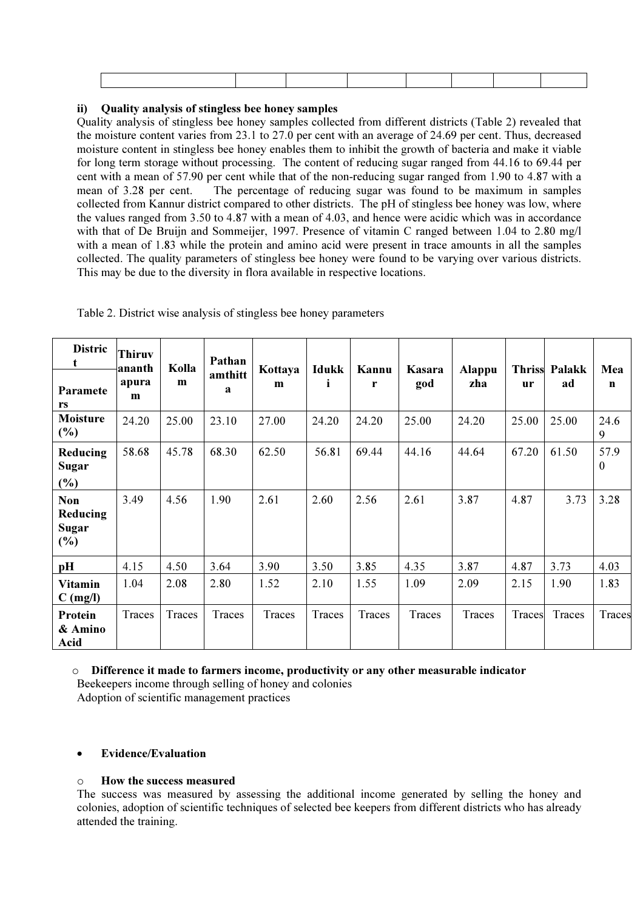## ii) Quality analysis of stingless bee honey samples

Quality analysis of stingless bee honey samples collected from different districts (Table 2) revealed that the moisture content varies from 23.1 to 27.0 per cent with an average of 24.69 per cent. Thus, decreased moisture content in stingless bee honey enables them to inhibit the growth of bacteria and make it viable for long term storage without processing. The content of reducing sugar ranged from 44.16 to 69.44 per cent with a mean of 57.90 per cent while that of the non-reducing sugar ranged from 1.90 to 4.87 with a mean of 3.28 per cent. The percentage of reducing sugar was found to be maximum in samples collected from Kannur district compared to other districts. The pH of stingless bee honey was low, where the values ranged from 3.50 to 4.87 with a mean of 4.03, and hence were acidic which was in accordance with that of De Bruijn and Sommeijer, 1997. Presence of vitamin C ranged between 1.04 to 2.80 mg/l with a mean of 1.83 while the protein and amino acid were present in trace amounts in all the samples collected. The quality parameters of stingless bee honey were found to be varying over various districts. This may be due to the diversity in flora available in respective locations.

| <b>Distric</b><br>t                           | <b>Thiruv</b><br>ananth | Kolla  | Pathan                  | Kottaya | <b>Idukk</b> | Kannu  | Kasara | <b>Alappu</b> |        | <b>Thriss Palakk</b> | Mea                  |
|-----------------------------------------------|-------------------------|--------|-------------------------|---------|--------------|--------|--------|---------------|--------|----------------------|----------------------|
| <b>Paramete</b><br>rs                         | apura<br>m              | m      | amthitt<br>$\mathbf{a}$ | m       | Ť            | r      | god    | zha           | ur     | ad                   | $\mathbf n$          |
| <b>Moisture</b><br>$(\%)$                     | 24.20                   | 25.00  | 23.10                   | 27.00   | 24.20        | 24.20  | 25.00  | 24.20         | 25.00  | 25.00                | 24.6<br>9            |
| Reducing<br><b>Sugar</b><br>$(\%)$            | 58.68                   | 45.78  | 68.30                   | 62.50   | 56.81        | 69.44  | 44.16  | 44.64         | 67.20  | 61.50                | 57.9<br>$\mathbf{0}$ |
| <b>Non</b><br>Reducing<br><b>Sugar</b><br>(%) | 3.49                    | 4.56   | 1.90                    | 2.61    | 2.60         | 2.56   | 2.61   | 3.87          | 4.87   | 3.73                 | 3.28                 |
| pH                                            | 4.15                    | 4.50   | 3.64                    | 3.90    | 3.50         | 3.85   | 4.35   | 3.87          | 4.87   | 3.73                 | 4.03                 |
| <b>Vitamin</b><br>$C$ (mg/l)                  | 1.04                    | 2.08   | 2.80                    | 1.52    | 2.10         | 1.55   | 1.09   | 2.09          | 2.15   | 1.90                 | 1.83                 |
| Protein<br>& Amino<br>Acid                    | Traces                  | Traces | Traces                  | Traces  | Traces       | Traces | Traces | Traces        | Traces | Traces               | Traces               |

Table 2. District wise analysis of stingless bee honey parameters

o Difference it made to farmers income, productivity or any other measurable indicator Beekeepers income through selling of honey and colonies

Adoption of scientific management practices

# • Evidence/Evaluation

# o How the success measured

The success was measured by assessing the additional income generated by selling the honey and colonies, adoption of scientific techniques of selected bee keepers from different districts who has already attended the training.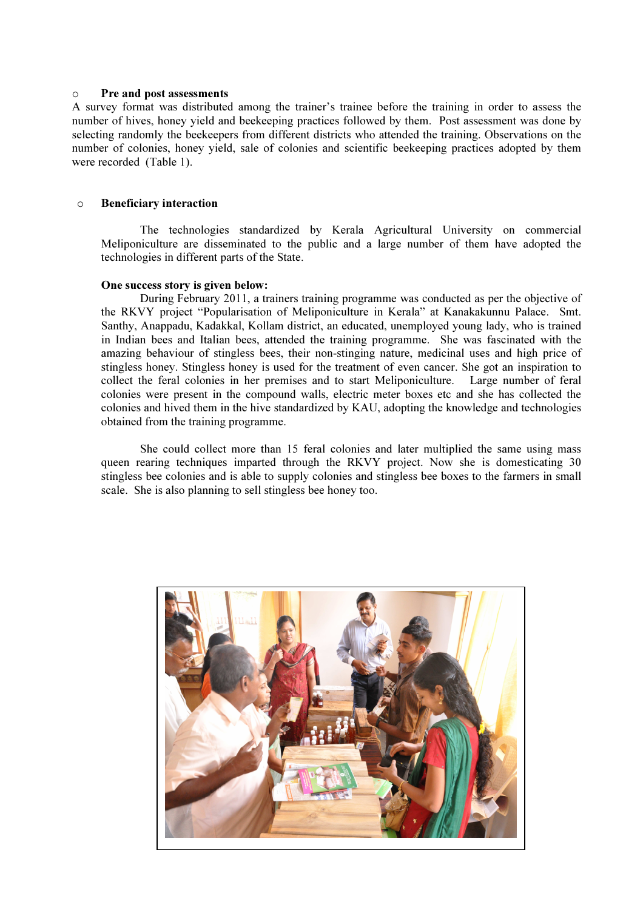#### o Pre and post assessments

A survey format was distributed among the trainer's trainee before the training in order to assess the number of hives, honey yield and beekeeping practices followed by them. Post assessment was done by selecting randomly the beekeepers from different districts who attended the training. Observations on the number of colonies, honey yield, sale of colonies and scientific beekeeping practices adopted by them were recorded (Table 1).

### o Beneficiary interaction

The technologies standardized by Kerala Agricultural University on commercial Meliponiculture are disseminated to the public and a large number of them have adopted the technologies in different parts of the State.

#### One success story is given below:

During February 2011, a trainers training programme was conducted as per the objective of the RKVY project "Popularisation of Meliponiculture in Kerala" at Kanakakunnu Palace. Smt. Santhy, Anappadu, Kadakkal, Kollam district, an educated, unemployed young lady, who is trained in Indian bees and Italian bees, attended the training programme. She was fascinated with the amazing behaviour of stingless bees, their non-stinging nature, medicinal uses and high price of stingless honey. Stingless honey is used for the treatment of even cancer. She got an inspiration to collect the feral colonies in her premises and to start Meliponiculture. Large number of feral colonies were present in the compound walls, electric meter boxes etc and she has collected the colonies and hived them in the hive standardized by KAU, adopting the knowledge and technologies obtained from the training programme.

She could collect more than 15 feral colonies and later multiplied the same using mass queen rearing techniques imparted through the RKVY project. Now she is domesticating 30 stingless bee colonies and is able to supply colonies and stingless bee boxes to the farmers in small scale. She is also planning to sell stingless bee honey too.